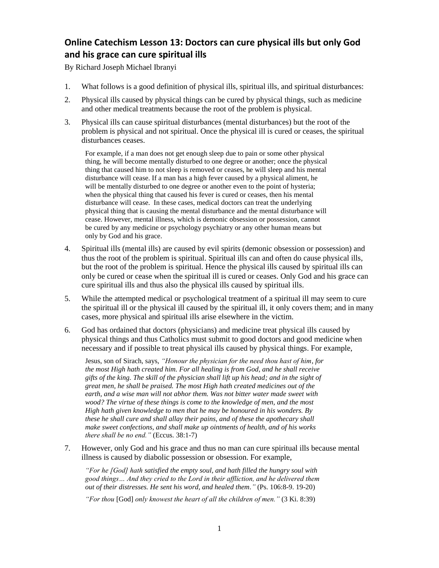## **Online Catechism Lesson 13: Doctors can cure physical ills but only God and his grace can cure spiritual ills**

By Richard Joseph Michael Ibranyi

- 1. What follows is a good definition of physical ills, spiritual ills, and spiritual disturbances:
- 2. Physical ills caused by physical things can be cured by physical things, such as medicine and other medical treatments because the root of the problem is physical.
- 3. Physical ills can cause spiritual disturbances (mental disturbances) but the root of the problem is physical and not spiritual. Once the physical ill is cured or ceases, the spiritual disturbances ceases.

For example, if a man does not get enough sleep due to pain or some other physical thing, he will become mentally disturbed to one degree or another; once the physical thing that caused him to not sleep is removed or ceases, he will sleep and his mental disturbance will cease. If a man has a high fever caused by a physical aliment, he will be mentally disturbed to one degree or another even to the point of hysteria; when the physical thing that caused his fever is cured or ceases, then his mental disturbance will cease. In these cases, medical doctors can treat the underlying physical thing that is causing the mental disturbance and the mental disturbance will cease. However, mental illness, which is demonic obsession or possession, cannot be cured by any medicine or psychology psychiatry or any other human means but only by God and his grace.

- 4. Spiritual ills (mental ills) are caused by evil spirits (demonic obsession or possession) and thus the root of the problem is spiritual. Spiritual ills can and often do cause physical ills, but the root of the problem is spiritual. Hence the physical ills caused by spiritual ills can only be cured or cease when the spiritual ill is cured or ceases. Only God and his grace can cure spiritual ills and thus also the physical ills caused by spiritual ills.
- 5. While the attempted medical or psychological treatment of a spiritual ill may seem to cure the spiritual ill or the physical ill caused by the spiritual ill, it only covers them; and in many cases, more physical and spiritual ills arise elsewhere in the victim.
- 6. God has ordained that doctors (physicians) and medicine treat physical ills caused by physical things and thus Catholics must submit to good doctors and good medicine when necessary and if possible to treat physical ills caused by physical things. For example,

Jesus, son of Sirach, says, *"Honour the physician for the need thou hast of him, for the most High hath created him. For all healing is from God, and he shall receive gifts of the king. The skill of the physician shall lift up his head; and in the sight of great men, he shall be praised. The most High hath created medicines out of the earth, and a wise man will not abhor them. Was not bitter water made sweet with wood? The virtue of these things is come to the knowledge of men, and the most High hath given knowledge to men that he may be honoured in his wonders. By these he shall cure and shall allay their pains, and of these the apothecary shall make sweet confections, and shall make up ointments of health, and of his works there shall be no end."* (Eccus. 38:1-7)

7. However, only God and his grace and thus no man can cure spiritual ills because mental illness is caused by diabolic possession or obsession. For example,

*"For he [God] hath satisfied the empty soul, and hath filled the hungry soul with good things… And they cried to the Lord in their affliction, and he delivered them out of their distresses. He sent his word, and healed them."* (Ps. 106:8-9. 19-20)

*"For thou* [God] *only knowest the heart of all the children of men."* (3 Ki. 8:39)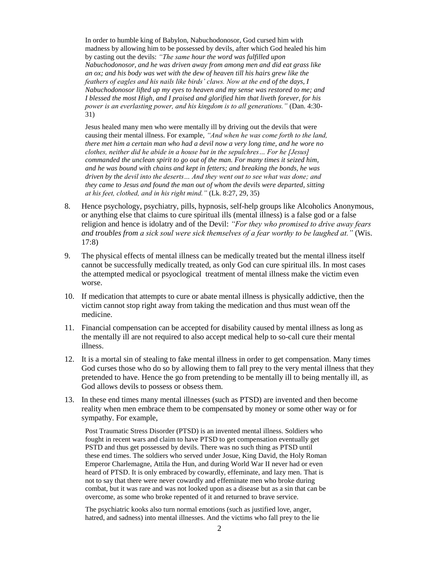In order to humble king of Babylon, Nabuchodonosor, God cursed him with madness by allowing him to be possessed by devils, after which God healed his him by casting out the devils: *"The same hour the word was fulfilled upon Nabuchodonosor, and he was driven away from among men and did eat grass like an ox; and his body was wet with the dew of heaven till his hairs grew like the feathers of eagles and his nails like birds' claws. Now at the end of the days, I Nabuchodonosor lifted up my eyes to heaven and my sense was restored to me; and I blessed the most High, and I praised and glorified him that liveth forever, for his power is an everlasting power, and his kingdom is to all generations."* (Dan. 4:30- 31)

Jesus healed many men who were mentally ill by driving out the devils that were causing their mental illness. For example, *"And when he was come forth to the land, there met him a certain man who had a devil now a very long time, and he wore no clothes, neither did he abide in a house but in the sepulchres… For he [Jesus] commanded the unclean spirit to go out of the man. For many times it seized him, and he was bound with chains and kept in fetters; and breaking the bonds, he was driven by the devil into the deserts… And they went out to see what was done; and they came to Jesus and found the man out of whom the devils were departed, sitting at his feet, clothed, and in his right mind."* (Lk. 8:27, 29, 35)

- 8. Hence psychology, psychiatry, pills, hypnosis, self-help groups like Alcoholics Anonymous, or anything else that claims to cure spiritual ills (mental illness) is a false god or a false religion and hence is idolatry and of the Devil: *"For they who promised to drive away fears and troubles from a sick soul were sick themselves of a fear worthy to be laughed at."* (Wis. 17:8)
- 9. The physical effects of mental illness can be medically treated but the mental illness itself cannot be successfully medically treated, as only God can cure spiritual ills. In most cases the attempted medical or psyoclogical treatment of mental illness make the victim even worse.
- 10. If medication that attempts to cure or abate mental illness is physically addictive, then the victim cannot stop right away from taking the medication and thus must wean off the medicine.
- 11. Financial compensation can be accepted for disability caused by mental illness as long as the mentally ill are not required to also accept medical help to so-call cure their mental illness.
- 12. It is a mortal sin of stealing to fake mental illness in order to get compensation. Many times God curses those who do so by allowing them to fall prey to the very mental illness that they pretended to have. Hence the go from pretending to be mentally ill to being mentally ill, as God allows devils to possess or obsess them.
- 13. In these end times many mental illnesses (such as PTSD) are invented and then become reality when men embrace them to be compensated by money or some other way or for sympathy. For example,

Post Traumatic Stress Disorder (PTSD) is an invented mental illness. Soldiers who fought in recent wars and claim to have PTSD to get compensation eventually get PSTD and thus get possessed by devils. There was no such thing as PTSD until these end times. The soldiers who served under Josue, King David, the Holy Roman Emperor Charlemagne, Attila the Hun, and during World War II never had or even heard of PTSD. It is only embraced by cowardly, effeminate, and lazy men. That is not to say that there were never cowardly and effeminate men who broke during combat, but it was rare and was not looked upon as a disease but as a sin that can be overcome, as some who broke repented of it and returned to brave service.

The psychiatric kooks also turn normal emotions (such as justified love, anger, hatred, and sadness) into mental illnesses. And the victims who fall prey to the lie